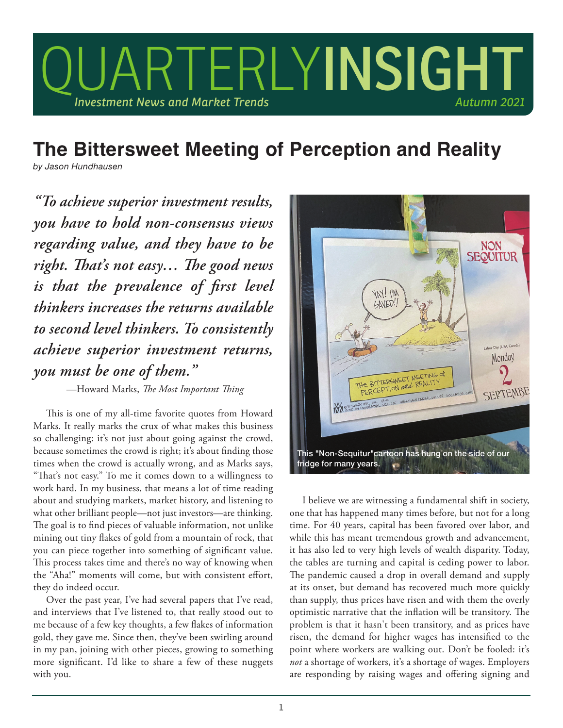

## **The Bittersweet Meeting of Perception and Reality**

*by Jason Hundhausen*

*"To achieve superior investment results, you have to hold non-consensus views regarding value, and they have to be right. That's not easy… The good news is that the prevalence of first level thinkers increases the returns available to second level thinkers. To consistently achieve superior investment returns, you must be one of them."*

—Howard Marks, *The Most Important Thing*

This is one of my all-time favorite quotes from Howard Marks. It really marks the crux of what makes this business so challenging: it's not just about going against the crowd, because sometimes the crowd is right; it's about finding those times when the crowd is actually wrong, and as Marks says, "That's not easy." To me it comes down to a willingness to work hard. In my business, that means a lot of time reading about and studying markets, market history, and listening to what other brilliant people—not just investors—are thinking. The goal is to find pieces of valuable information, not unlike mining out tiny flakes of gold from a mountain of rock, that you can piece together into something of significant value. This process takes time and there's no way of knowing when the "Aha!" moments will come, but with consistent effort, they do indeed occur.

Over the past year, I've had several papers that I've read, and interviews that I've listened to, that really stood out to me because of a few key thoughts, a few flakes of information gold, they gave me. Since then, they've been swirling around in my pan, joining with other pieces, growing to something more significant. I'd like to share a few of these nuggets with you.



I believe we are witnessing a fundamental shift in society, one that has happened many times before, but not for a long time. For 40 years, capital has been favored over labor, and while this has meant tremendous growth and advancement, it has also led to very high levels of wealth disparity. Today, the tables are turning and capital is ceding power to labor. The pandemic caused a drop in overall demand and supply at its onset, but demand has recovered much more quickly than supply, thus prices have risen and with them the overly optimistic narrative that the inflation will be transitory. The problem is that it hasn't been transitory, and as prices have risen, the demand for higher wages has intensified to the point where workers are walking out. Don't be fooled: it's *not* a shortage of workers, it's a shortage of wages. Employers are responding by raising wages and offering signing and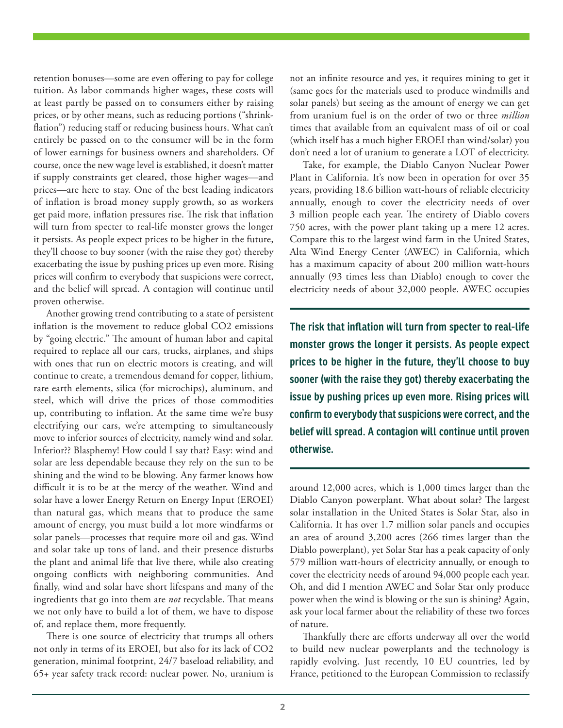retention bonuses—some are even offering to pay for college tuition. As labor commands higher wages, these costs will at least partly be passed on to consumers either by raising prices, or by other means, such as reducing portions ("shrinkflation") reducing staff or reducing business hours. What can't entirely be passed on to the consumer will be in the form of lower earnings for business owners and shareholders. Of course, once the new wage level is established, it doesn't matter if supply constraints get cleared, those higher wages—and prices—are here to stay. One of the best leading indicators of inflation is broad money supply growth, so as workers get paid more, inflation pressures rise. The risk that inflation will turn from specter to real-life monster grows the longer it persists. As people expect prices to be higher in the future, they'll choose to buy sooner (with the raise they got) thereby exacerbating the issue by pushing prices up even more. Rising prices will confirm to everybody that suspicions were correct, and the belief will spread. A contagion will continue until proven otherwise.

Another growing trend contributing to a state of persistent inflation is the movement to reduce global CO2 emissions by "going electric." The amount of human labor and capital required to replace all our cars, trucks, airplanes, and ships with ones that run on electric motors is creating, and will continue to create, a tremendous demand for copper, lithium, rare earth elements, silica (for microchips), aluminum, and steel, which will drive the prices of those commodities up, contributing to inflation. At the same time we're busy electrifying our cars, we're attempting to simultaneously move to inferior sources of electricity, namely wind and solar. Inferior?? Blasphemy! How could I say that? Easy: wind and solar are less dependable because they rely on the sun to be shining and the wind to be blowing. Any farmer knows how difficult it is to be at the mercy of the weather. Wind and solar have a lower Energy Return on Energy Input (EROEI) than natural gas, which means that to produce the same amount of energy, you must build a lot more windfarms or solar panels—processes that require more oil and gas. Wind and solar take up tons of land, and their presence disturbs the plant and animal life that live there, while also creating ongoing conflicts with neighboring communities. And finally, wind and solar have short lifespans and many of the ingredients that go into them are *not* recyclable. That means we not only have to build a lot of them, we have to dispose of, and replace them, more frequently.

There is one source of electricity that trumps all others not only in terms of its EROEI, but also for its lack of CO2 generation, minimal footprint, 24/7 baseload reliability, and 65+ year safety track record: nuclear power. No, uranium is not an infinite resource and yes, it requires mining to get it (same goes for the materials used to produce windmills and solar panels) but seeing as the amount of energy we can get from uranium fuel is on the order of two or three *million* times that available from an equivalent mass of oil or coal (which itself has a much higher EROEI than wind/solar) you don't need a lot of uranium to generate a LOT of electricity.

Take, for example, the Diablo Canyon Nuclear Power Plant in California. It's now been in operation for over 35 years, providing 18.6 billion watt-hours of reliable electricity annually, enough to cover the electricity needs of over 3 million people each year. The entirety of Diablo covers 750 acres, with the power plant taking up a mere 12 acres. Compare this to the largest wind farm in the United States, Alta Wind Energy Center (AWEC) in California, which has a maximum capacity of about 200 million watt-hours annually (93 times less than Diablo) enough to cover the electricity needs of about 32,000 people. AWEC occupies

**The risk that inflation will turn from specter to real-life monster grows the longer it persists. As people expect prices to be higher in the future, they'll choose to buy sooner (with the raise they got) thereby exacerbating the issue by pushing prices up even more. Rising prices will confirm to everybody that suspicions were correct, and the belief will spread. A contagion will continue until proven otherwise.** 

around 12,000 acres, which is 1,000 times larger than the Diablo Canyon powerplant. What about solar? The largest solar installation in the United States is Solar Star, also in California. It has over 1.7 million solar panels and occupies an area of around 3,200 acres (266 times larger than the Diablo powerplant), yet Solar Star has a peak capacity of only 579 million watt-hours of electricity annually, or enough to cover the electricity needs of around 94,000 people each year. Oh, and did I mention AWEC and Solar Star only produce power when the wind is blowing or the sun is shining? Again, ask your local farmer about the reliability of these two forces of nature.

Thankfully there are efforts underway all over the world to build new nuclear powerplants and the technology is rapidly evolving. Just recently, 10 EU countries, led by France, petitioned to the European Commission to reclassify